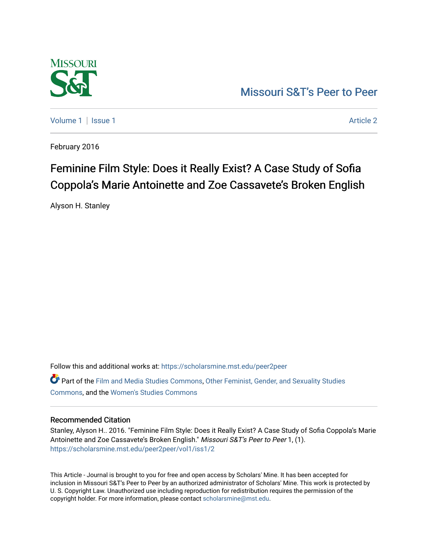

[Missouri S&T's Peer to Peer](https://scholarsmine.mst.edu/peer2peer) 

[Volume 1](https://scholarsmine.mst.edu/peer2peer/vol1) | [Issue 1](https://scholarsmine.mst.edu/peer2peer/vol1/iss1) Article 2

February 2016

# Feminine Film Style: Does it Really Exist? A Case Study of Sofia Coppola's Marie Antoinette and Zoe Cassavete's Broken English

Alyson H. Stanley

Follow this and additional works at: [https://scholarsmine.mst.edu/peer2peer](https://scholarsmine.mst.edu/peer2peer?utm_source=scholarsmine.mst.edu%2Fpeer2peer%2Fvol1%2Fiss1%2F2&utm_medium=PDF&utm_campaign=PDFCoverPages) 

Part of the [Film and Media Studies Commons,](http://network.bepress.com/hgg/discipline/563?utm_source=scholarsmine.mst.edu%2Fpeer2peer%2Fvol1%2Fiss1%2F2&utm_medium=PDF&utm_campaign=PDFCoverPages) [Other Feminist, Gender, and Sexuality Studies](http://network.bepress.com/hgg/discipline/562?utm_source=scholarsmine.mst.edu%2Fpeer2peer%2Fvol1%2Fiss1%2F2&utm_medium=PDF&utm_campaign=PDFCoverPages) [Commons](http://network.bepress.com/hgg/discipline/562?utm_source=scholarsmine.mst.edu%2Fpeer2peer%2Fvol1%2Fiss1%2F2&utm_medium=PDF&utm_campaign=PDFCoverPages), and the [Women's Studies Commons](http://network.bepress.com/hgg/discipline/561?utm_source=scholarsmine.mst.edu%2Fpeer2peer%2Fvol1%2Fiss1%2F2&utm_medium=PDF&utm_campaign=PDFCoverPages)

### Recommended Citation

Stanley, Alyson H.. 2016. "Feminine Film Style: Does it Really Exist? A Case Study of Sofia Coppola's Marie Antoinette and Zoe Cassavete's Broken English." Missouri S&T's Peer to Peer 1, (1). [https://scholarsmine.mst.edu/peer2peer/vol1/iss1/2](https://scholarsmine.mst.edu/peer2peer/vol1/iss1/2?utm_source=scholarsmine.mst.edu%2Fpeer2peer%2Fvol1%2Fiss1%2F2&utm_medium=PDF&utm_campaign=PDFCoverPages)

This Article - Journal is brought to you for free and open access by Scholars' Mine. It has been accepted for inclusion in Missouri S&T's Peer to Peer by an authorized administrator of Scholars' Mine. This work is protected by U. S. Copyright Law. Unauthorized use including reproduction for redistribution requires the permission of the copyright holder. For more information, please contact [scholarsmine@mst.edu](mailto:scholarsmine@mst.edu).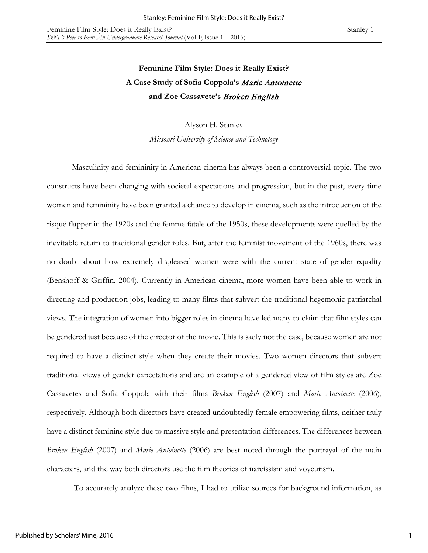# **Feminine Film Style: Does it Really Exist? A Case Study of Sofia Coppola's** Marie Antoinette **and Zoe Cassavete's** Broken English

Alyson H. Stanley

*Missouri University of Science and Technology* 

Masculinity and femininity in American cinema has always been a controversial topic. The two constructs have been changing with societal expectations and progression, but in the past, every time women and femininity have been granted a chance to develop in cinema, such as the introduction of the risqué flapper in the 1920s and the femme fatale of the 1950s, these developments were quelled by the inevitable return to traditional gender roles. But, after the feminist movement of the 1960s, there was no doubt about how extremely displeased women were with the current state of gender equality (Benshoff & Griffin, 2004). Currently in American cinema, more women have been able to work in directing and production jobs, leading to many films that subvert the traditional hegemonic patriarchal views. The integration of women into bigger roles in cinema have led many to claim that film styles can be gendered just because of the director of the movie. This is sadly not the case, because women are not required to have a distinct style when they create their movies. Two women directors that subvert traditional views of gender expectations and are an example of a gendered view of film styles are Zoe Cassavetes and Sofia Coppola with their films *Broken English* (2007) and *Marie Antoinette* (2006), respectively. Although both directors have created undoubtedly female empowering films, neither truly have a distinct feminine style due to massive style and presentation differences. The differences between *Broken English* (2007) and *Marie Antoinette* (2006) are best noted through the portrayal of the main characters, and the way both directors use the film theories of narcissism and voyeurism.

To accurately analyze these two films, I had to utilize sources for background information, as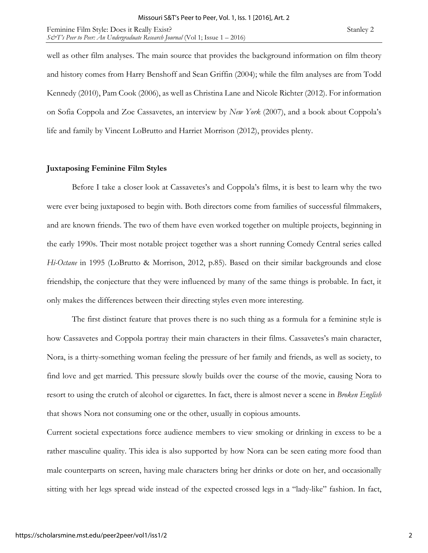Feminine Film Style: Does it Really Exist? Stanley 2 *S&T's Peer to Peer: An Undergraduate Research Journal* (Vol 1; Issue 1 – 2016)

well as other film analyses. The main source that provides the background information on film theory and history comes from Harry Benshoff and Sean Griffin (2004); while the film analyses are from Todd Kennedy (2010), Pam Cook (2006), as well as Christina Lane and Nicole Richter (2012). For information on Sofia Coppola and Zoe Cassavetes, an interview by *New York* (2007), and a book about Coppola's life and family by Vincent LoBrutto and Harriet Morrison (2012), provides plenty.

# **Juxtaposing Feminine Film Styles**

 Before I take a closer look at Cassavetes's and Coppola's films, it is best to learn why the two were ever being juxtaposed to begin with. Both directors come from families of successful filmmakers, and are known friends. The two of them have even worked together on multiple projects, beginning in the early 1990s. Their most notable project together was a short running Comedy Central series called *Hi-Octane* in 1995 (LoBrutto & Morrison, 2012, p.85). Based on their similar backgrounds and close friendship, the conjecture that they were influenced by many of the same things is probable. In fact, it only makes the differences between their directing styles even more interesting.

 The first distinct feature that proves there is no such thing as a formula for a feminine style is how Cassavetes and Coppola portray their main characters in their films. Cassavetes's main character, Nora, is a thirty-something woman feeling the pressure of her family and friends, as well as society, to find love and get married. This pressure slowly builds over the course of the movie, causing Nora to resort to using the crutch of alcohol or cigarettes. In fact, there is almost never a scene in *Broken English*  that shows Nora not consuming one or the other, usually in copious amounts.

Current societal expectations force audience members to view smoking or drinking in excess to be a rather masculine quality. This idea is also supported by how Nora can be seen eating more food than male counterparts on screen, having male characters bring her drinks or dote on her, and occasionally sitting with her legs spread wide instead of the expected crossed legs in a "lady-like" fashion. In fact,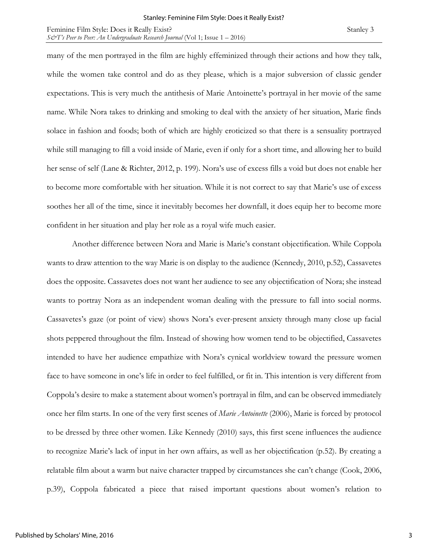many of the men portrayed in the film are highly effeminized through their actions and how they talk, while the women take control and do as they please, which is a major subversion of classic gender expectations. This is very much the antithesis of Marie Antoinette's portrayal in her movie of the same name. While Nora takes to drinking and smoking to deal with the anxiety of her situation, Marie finds solace in fashion and foods; both of which are highly eroticized so that there is a sensuality portrayed while still managing to fill a void inside of Marie, even if only for a short time, and allowing her to build her sense of self (Lane & Richter, 2012, p. 199). Nora's use of excess fills a void but does not enable her to become more comfortable with her situation. While it is not correct to say that Marie's use of excess soothes her all of the time, since it inevitably becomes her downfall, it does equip her to become more confident in her situation and play her role as a royal wife much easier.

Another difference between Nora and Marie is Marie's constant objectification. While Coppola wants to draw attention to the way Marie is on display to the audience (Kennedy, 2010, p.52), Cassavetes does the opposite. Cassavetes does not want her audience to see any objectification of Nora; she instead wants to portray Nora as an independent woman dealing with the pressure to fall into social norms. Cassavetes's gaze (or point of view) shows Nora's ever-present anxiety through many close up facial shots peppered throughout the film. Instead of showing how women tend to be objectified, Cassavetes intended to have her audience empathize with Nora's cynical worldview toward the pressure women face to have someone in one's life in order to feel fulfilled, or fit in. This intention is very different from Coppola's desire to make a statement about women's portrayal in film, and can be observed immediately once her film starts. In one of the very first scenes of *Marie Antoinette* (2006), Marie is forced by protocol to be dressed by three other women. Like Kennedy (2010) says, this first scene influences the audience to recognize Marie's lack of input in her own affairs, as well as her objectification (p.52). By creating a relatable film about a warm but naive character trapped by circumstances she can't change (Cook, 2006, p.39), Coppola fabricated a piece that raised important questions about women's relation to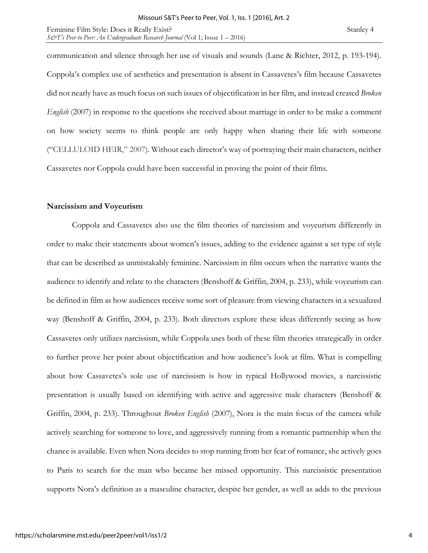communication and silence through her use of visuals and sounds (Lane & Richter, 2012, p. 193-194). Coppola's complex use of aesthetics and presentation is absent in Cassavetes's film because Cassavetes did not nearly have as much focus on such issues of objectification in her film, and instead created *Broken English* (2007) in response to the questions she received about marriage in order to be make a comment on how society seems to think people are only happy when sharing their life with someone ("CELLULOID HEIR," 2007). Without each director's way of portraying their main characters, neither Cassavetes nor Coppola could have been successful in proving the point of their films.

#### **Narcissism and Voyeurism**

Coppola and Cassavetes also use the film theories of narcissism and voyeurism differently in order to make their statements about women's issues, adding to the evidence against a set type of style that can be described as unmistakably feminine. Narcissism in film occurs when the narrative wants the audience to identify and relate to the characters (Benshoff & Griffin, 2004, p. 233), while voyeurism can be defined in film as how audiences receive some sort of pleasure from viewing characters in a sexualized way (Benshoff & Griffin, 2004, p. 233). Both directors explore these ideas differently seeing as how Cassavetes only utilizes narcissism, while Coppola uses both of these film theories strategically in order to further prove her point about objectification and how audience's look at film. What is compelling about how Cassavetes's sole use of narcissism is how in typical Hollywood movies, a narcissistic presentation is usually based on identifying with active and aggressive male characters (Benshoff & Griffin, 2004, p. 233). Throughout *Broken English* (2007), Nora is the main focus of the camera while actively searching for someone to love, and aggressively running from a romantic partnership when the chance is available. Even when Nora decides to stop running from her fear of romance, she actively goes to Paris to search for the man who became her missed opportunity. This narcissistic presentation supports Nora's definition as a masculine character, despite her gender, as well as adds to the previous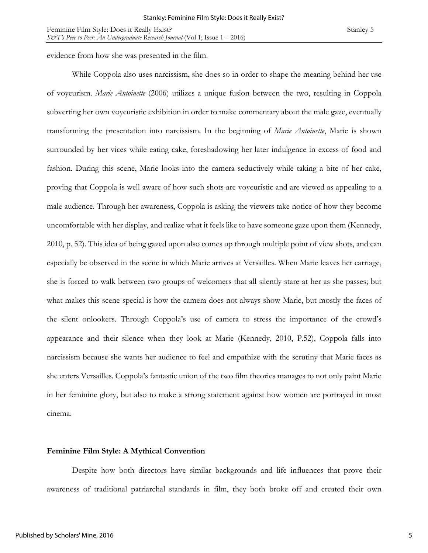evidence from how she was presented in the film.

While Coppola also uses narcissism, she does so in order to shape the meaning behind her use of voyeurism. *Marie Antoinette* (2006) utilizes a unique fusion between the two, resulting in Coppola subverting her own voyeuristic exhibition in order to make commentary about the male gaze, eventually transforming the presentation into narcissism. In the beginning of *Marie Antoinette*, Marie is shown surrounded by her vices while eating cake, foreshadowing her later indulgence in excess of food and fashion. During this scene, Marie looks into the camera seductively while taking a bite of her cake, proving that Coppola is well aware of how such shots are voyeuristic and are viewed as appealing to a male audience. Through her awareness, Coppola is asking the viewers take notice of how they become uncomfortable with her display, and realize what it feels like to have someone gaze upon them (Kennedy, 2010, p. 52). This idea of being gazed upon also comes up through multiple point of view shots, and can especially be observed in the scene in which Marie arrives at Versailles. When Marie leaves her carriage, she is forced to walk between two groups of welcomers that all silently stare at her as she passes; but what makes this scene special is how the camera does not always show Marie, but mostly the faces of the silent onlookers. Through Coppola's use of camera to stress the importance of the crowd's appearance and their silence when they look at Marie (Kennedy, 2010, P.52), Coppola falls into narcissism because she wants her audience to feel and empathize with the scrutiny that Marie faces as she enters Versailles. Coppola's fantastic union of the two film theories manages to not only paint Marie in her feminine glory, but also to make a strong statement against how women are portrayed in most cinema.

### **Feminine Film Style: A Mythical Convention**

Despite how both directors have similar backgrounds and life influences that prove their awareness of traditional patriarchal standards in film, they both broke off and created their own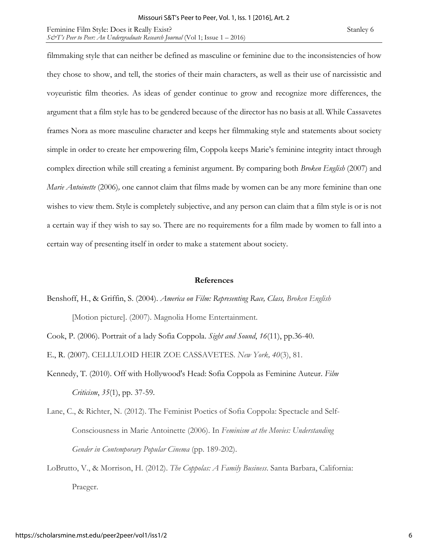filmmaking style that can neither be defined as masculine or feminine due to the inconsistencies of how they chose to show, and tell, the stories of their main characters, as well as their use of narcissistic and voyeuristic film theories. As ideas of gender continue to grow and recognize more differences, the argument that a film style has to be gendered because of the director has no basis at all. While Cassavetes frames Nora as more masculine character and keeps her filmmaking style and statements about society simple in order to create her empowering film, Coppola keeps Marie's feminine integrity intact through complex direction while still creating a feminist argument. By comparing both *Broken English* (2007) and *Marie Antoinette* (2006)*,* one cannot claim that films made by women can be any more feminine than one wishes to view them. Style is completely subjective, and any person can claim that a film style is or is not a certain way if they wish to say so. There are no requirements for a film made by women to fall into a certain way of presenting itself in order to make a statement about society.

## **References**

Benshoff, H., & Griffin, S. (2004). *America on Film: Representing Race, Class, Broken English* [Motion picture]. (2007). Magnolia Home Entertainment.

Cook, P. (2006). Portrait of a lady Sofia Coppola. *Sight and Sound*, *16*(11), pp.36-40.

E., R. (2007). CELLULOID HEIR ZOE CASSAVETES. *New York, 40*(3), 81.

- Kennedy, T. (2010). Off with Hollywood's Head: Sofia Coppola as Feminine Auteur. *Film Criticism*, *35*(1), pp. 37-59.
- Lane, C., & Richter, N. (2012). The Feminist Poetics of Sofia Coppola: Spectacle and Self-Consciousness in Marie Antoinette (2006). In *Feminism at the Movies: Understanding Gender in Contemporary Popular Cinema* (pp. 189-202).
- LoBrutto, V., & Morrison, H. (2012). *The Coppolas: A Family Business*. Santa Barbara, California: Praeger.